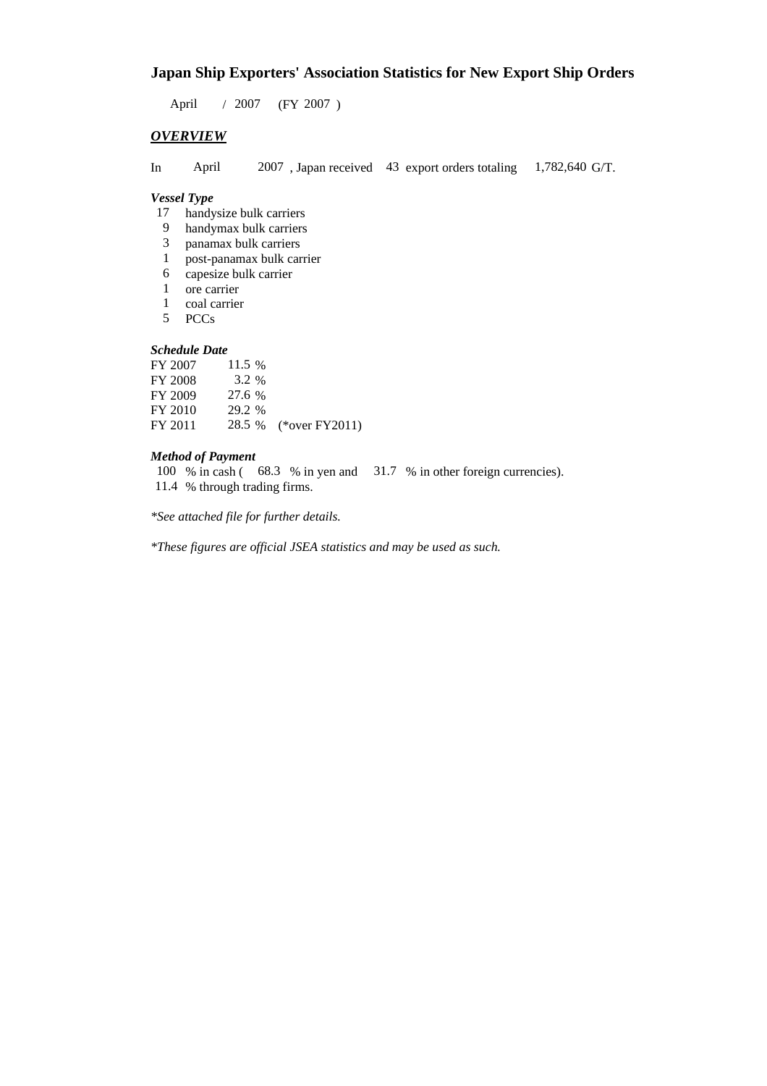# **Japan Ship Exporters' Association Statistics for New Export Ship Orders**

 $/ 2007$  (FY 2007) April 2007

## *OVERVIEW*

In April 2007, Japan received 43 export orders totaling 1,782,640 G/T.

1,782,640 G/T.

#### *Vessel Type*

- 17 handysize bulk carriers
- handymax bulk carriers 9
- panamax bulk carriers 3
- post-panamax bulk carrier 1
- 6 capesize bulk carrier
- ore carrier 1
- coal carrier 1
- PCCs 5

# *Schedule Date*

| FY 2007 | 11.5 % |                       |
|---------|--------|-----------------------|
| FY 2008 | 3.2 %  |                       |
| FY 2009 | 27.6 % |                       |
| FY 2010 | 29.2 % |                       |
| FY 2011 |        | 28.5 % (*over FY2011) |

#### *Method of Payment*

100 % in cash (68.3 % in yen and 31.7 % in other foreign currencies). % through trading firms. 11.4

*\*See attached file for further details.*

*\*These figures are official JSEA statistics and may be used as such.*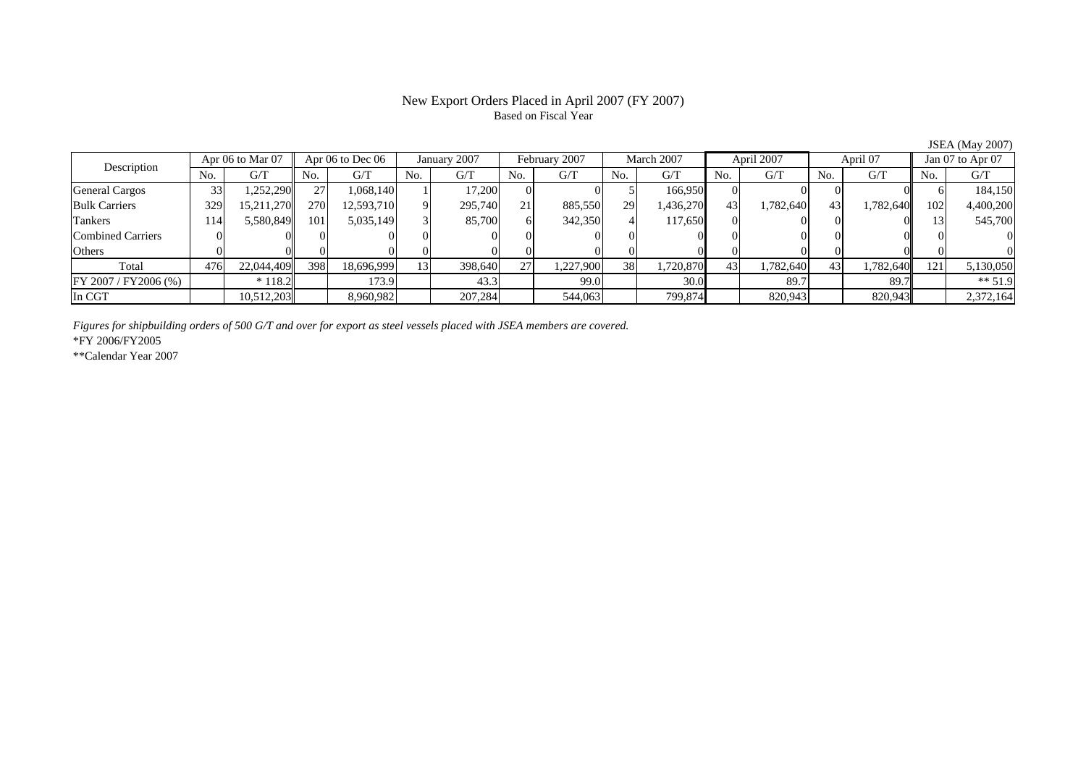#### New Export Orders Placed in April 2007 (FY 2007) Based on Fiscal Year

No. G/T No. G/T No. G/T No. G/T No. G/T No. G/T No. G/T No. G/TGeneral Cargos ( 33 1,252,290 27 1,068,140 1 17,200 0 0 5 166,950 0 0 0 0 0 0 6 184,150 Bulk Carriers 329 15,211,270 270 12,593,710 9 295,740 21 885,550 29 1,436,270 43 1,782,640 43 1,782,640 102 4,400,200 Tankers 114 5,580,849 101 5,035,149 3 85,700 6 342,350 4 117,650 0 0 0 0 13 545,700 Combined Carriers 0 0 0 0 0 0 0 0 0 0 0 0 0 0 0 0Others 0 0 0 0 0 0 0 0 0 0 0 0 0 0 0 0 $\mathbf{0}$ Total 476 22,044,409 398 18,696,999 13 398,640 27 1,227,900 38 1,720,870 43 1,782,640 43 1,782,640 121 5,130,050 FY 2007 / FY 2006 (%) \* 118.2 173.9 173.9 43.3 99.0 30.0 89.7 89.7 89.7 \* \$1.9 In CGT | | 10,512,203| | 8,960,982| | 207,284| | 544,063| | 799,874| | 820,943| | 820,943|| | 2,372,164 February 2007 Description Apr 06 to Mar 07 | Apr 06 to Dec 06 | January 2007 | February 2007 | March 2007 | April 2007 | April 07 | Jan 07 to Apr 07

*Figures for shipbuilding orders of 500 G/T and over for export as steel vessels placed with JSEA members are covered.*

\*FY 2006/FY2005

\*\*Calendar Year 2007

JSEA (May 2007)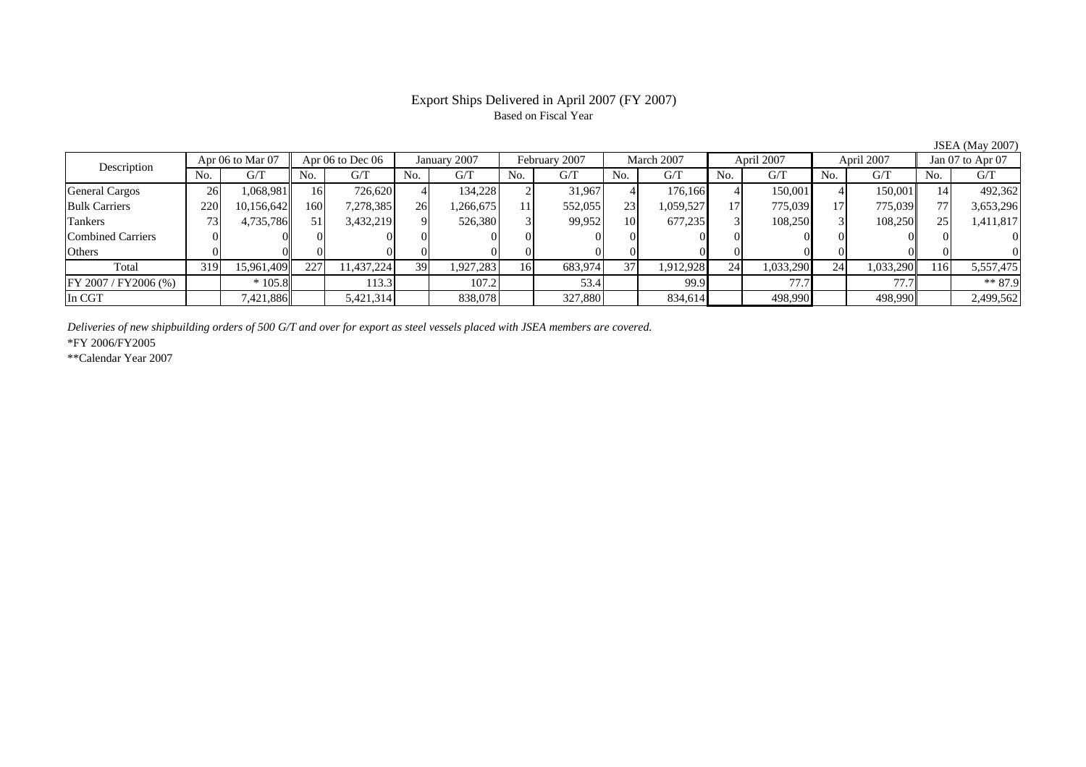### Export Ships Delivered in April 2007 (FY 2007) Based on Fiscal Year

JSEA (May 2007)

| Apr 06 to Mar 07<br>Description |     | Apr 06 to Dec 06 |           | January 2007 | February 2007 |           | March 2007 |         | April 2007 |           | April 2007     |           | Jan 07 to Apr 07 |           |     |           |
|---------------------------------|-----|------------------|-----------|--------------|---------------|-----------|------------|---------|------------|-----------|----------------|-----------|------------------|-----------|-----|-----------|
|                                 | No. | G/T              | No.       | G/T          | No.           | G/T       | No.        | G/T     | No.        | G/T       | N <sub>o</sub> | G/T       | No.              | G/T       | No. | G/T       |
| <b>General Cargos</b>           | 26  | .068,981         | <b>16</b> | 726.620      |               | 134.228   |            | 31,967  |            | 176,166   |                | 150,001   |                  | 150,001   |     | 492,362   |
| <b>Bulk Carriers</b>            | 220 | 10,156,642       | 160       | 7,278,385    | 26            | ,266,675  |            | 552,055 | 23         | 1,059,527 | 17             | 775,039   |                  | 775,039   |     | 3,653,296 |
| Tankers                         |     | 4,735,786        | 51        | 3,432,219    | $\mathbf Q$   | 526,380   |            | 99,952  | <b>10</b>  | 677,235   |                | 108,250   |                  | 108,250   |     | 1,411,817 |
| Combined Carriers               |     |                  |           |              |               |           |            |         |            |           |                |           |                  |           |     |           |
| Others                          |     |                  |           |              |               |           |            | 01      |            |           |                |           |                  |           |     |           |
| Total                           | 319 | 15,961,409       | 227       | 11.437.224   | 39            | 1,927,283 | 16         | 683,974 | 371        | 1,912,928 | 24             | 1,033,290 | 24               | 1,033,290 | 116 | 5,557,475 |
| FY 2007 / FY 2006 (%)           |     | $*105.8$         |           | 113.3        |               | 107.2     |            | 53.4    |            | 99.9      |                | 77.7      |                  | 77.7      |     | $** 87.9$ |
| In CGT                          |     | 7,421,886        |           | 5,421,314    |               | 838,078   |            | 327,880 |            | 834,614   |                | 498,990   |                  | 498,990   |     | 2,499,562 |

*Deliveries of new shipbuilding orders of 500 G/T and over for export as steel vessels placed with JSEA members are covered.*

\*FY 2006/FY2005

\*\*Calendar Year 2007